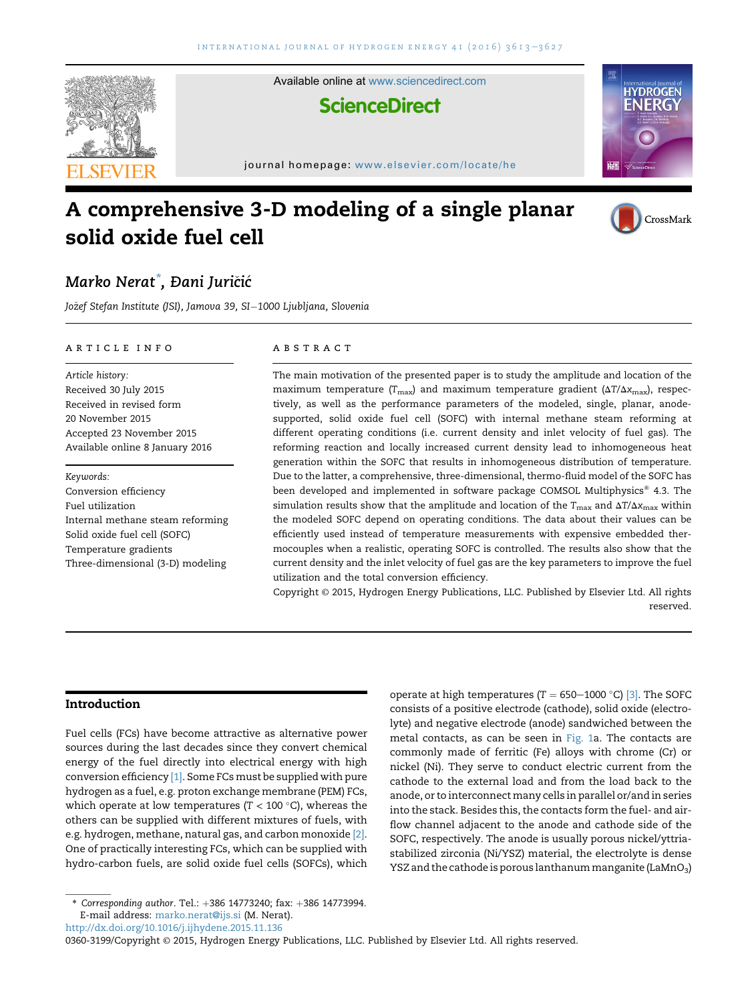

# A comprehensive 3-D modeling of a single planar solid oxide fuel cell



### Marko Nerat<sup>\*</sup>, Đani Juričić

Jožef Stefan Institute (JSI), Jamova 39, SI-1000 Ljubljana, Slovenia

#### article info

Article history: Received 30 July 2015 Received in revised form 20 November 2015 Accepted 23 November 2015 Available online 8 January 2016

Keywords: Conversion efficiency Fuel utilization Internal methane steam reforming Solid oxide fuel cell (SOFC) Temperature gradients Three-dimensional (3-D) modeling

#### **ABSTRACT**

The main motivation of the presented paper is to study the amplitude and location of the maximum temperature ( $T_{\text{max}}$ ) and maximum temperature gradient ( $\Delta T/\Delta x_{\text{max}}$ ), respectively, as well as the performance parameters of the modeled, single, planar, anodesupported, solid oxide fuel cell (SOFC) with internal methane steam reforming at different operating conditions (i.e. current density and inlet velocity of fuel gas). The reforming reaction and locally increased current density lead to inhomogeneous heat generation within the SOFC that results in inhomogeneous distribution of temperature. Due to the latter, a comprehensive, three-dimensional, thermo-fluid model of the SOFC has been developed and implemented in software package COMSOL Multiphysics® 4.3. The simulation results show that the amplitude and location of the  $T_{\text{max}}$  and  $\Delta T/\Delta x_{\text{max}}$  within the modeled SOFC depend on operating conditions. The data about their values can be efficiently used instead of temperature measurements with expensive embedded thermocouples when a realistic, operating SOFC is controlled. The results also show that the current density and the inlet velocity of fuel gas are the key parameters to improve the fuel utilization and the total conversion efficiency.

Copyright © 2015, Hydrogen Energy Publications, LLC. Published by Elsevier Ltd. All rights reserved.

#### Introduction

Fuel cells (FCs) have become attractive as alternative power sources during the last decades since they convert chemical energy of the fuel directly into electrical energy with high conversion efficiency [1]. Some FCs must be supplied with pure hydrogen as a fuel, e.g. proton exchange membrane (PEM) FCs, which operate at low temperatures ( $T < 100$  °C), whereas the others can be supplied with different mixtures of fuels, with e.g. hydrogen, methane, natural gas, and carbon monoxide [2]. One of practically interesting FCs, which can be supplied with hydro-carbon fuels, are solid oxide fuel cells (SOFCs), which

<http://dx.doi.org/10.1016/j.ijhydene.2015.11.136>

0360-3199/Copyright © 2015, Hydrogen Energy Publications, LLC. Published by Elsevier Ltd. All rights reserved.

operate at high temperatures (T = 650-1000 °C) [3]. The SOFC consists of a positive electrode (cathode), solid oxide (electrolyte) and negative electrode (anode) sandwiched between the metal contacts, as can be seen in Fig. 1a. The contacts are commonly made of ferritic (Fe) alloys with chrome (Cr) or nickel (Ni). They serve to conduct electric current from the cathode to the external load and from the load back to the anode, or to interconnect many cells in parallel or/and in series into the stack. Besides this, the contacts form the fuel- and airflow channel adjacent to the anode and cathode side of the SOFC, respectively. The anode is usually porous nickel/yttriastabilized zirconia (Ni/YSZ) material, the electrolyte is dense YSZ and the cathode is porous lanthanum manganite (LaMnO<sub>3</sub>)

 $*$  Corresponding author. Tel.:  $+386$  14773240; fax:  $+386$  14773994. E-mail address: [marko.nerat@ijs.si](mailto:marko.nerat@ijs.si) (M. Nerat).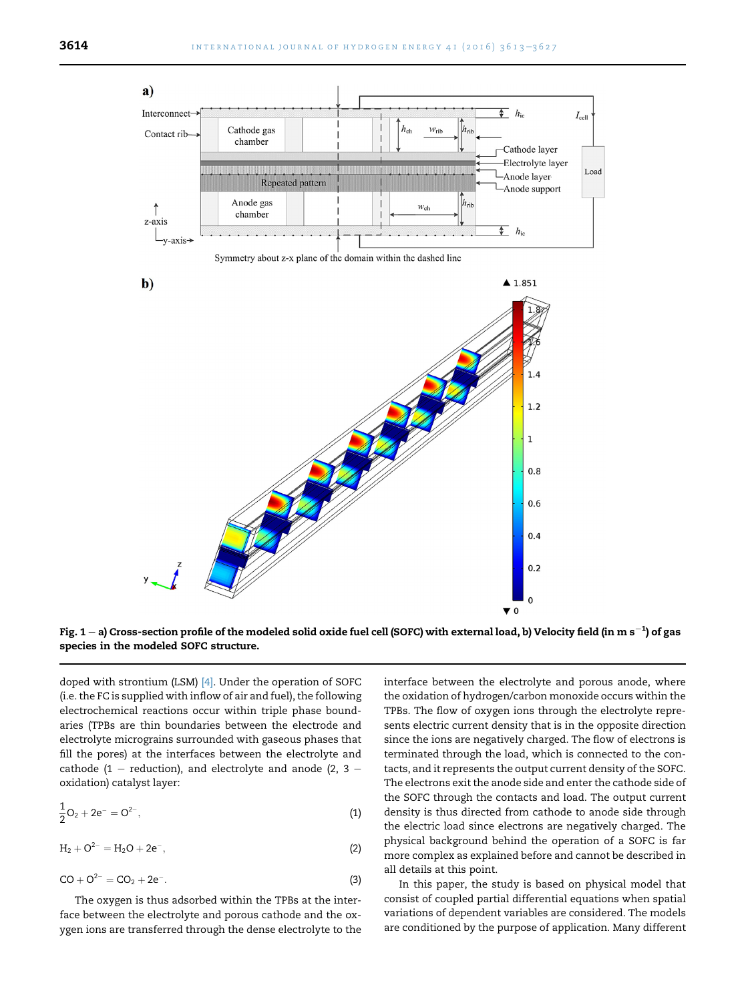

Fig. 1 – a) Cross-section profile of the modeled solid oxide fuel cell (SOFC) with external load, b) Velocity field (in m s $^{-1})$  of gas species in the modeled SOFC structure.

doped with strontium (LSM) [4]. Under the operation of SOFC (i.e. the FC is supplied with inflow of air and fuel), the following electrochemical reactions occur within triple phase boundaries (TPBs are thin boundaries between the electrode and electrolyte micrograins surrounded with gaseous phases that fill the pores) at the interfaces between the electrolyte and cathode (1 – reduction), and electrolyte and anode (2, 3 – oxidation) catalyst layer:

$$
\frac{1}{2}O_2 + 2e^- = O^{2-},\tag{1}
$$

$$
H_2 + O^{2-} = H_2O + 2e^-,
$$
 (2)

$$
CO + O^{2-} = CO_2 + 2e^-.
$$
 (3)

The oxygen is thus adsorbed within the TPBs at the interface between the electrolyte and porous cathode and the oxygen ions are transferred through the dense electrolyte to the interface between the electrolyte and porous anode, where the oxidation of hydrogen/carbon monoxide occurs within the TPBs. The flow of oxygen ions through the electrolyte represents electric current density that is in the opposite direction since the ions are negatively charged. The flow of electrons is terminated through the load, which is connected to the contacts, and it represents the output current density of the SOFC. The electrons exit the anode side and enter the cathode side of the SOFC through the contacts and load. The output current density is thus directed from cathode to anode side through the electric load since electrons are negatively charged. The physical background behind the operation of a SOFC is far more complex as explained before and cannot be described in all details at this point.

In this paper, the study is based on physical model that consist of coupled partial differential equations when spatial variations of dependent variables are considered. The models are conditioned by the purpose of application. Many different